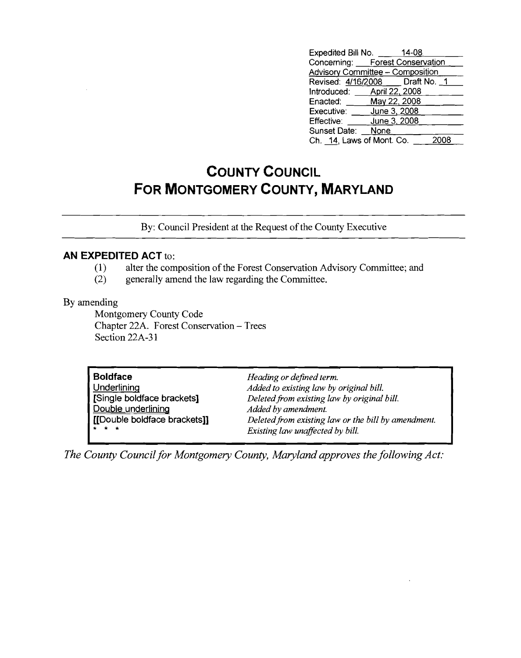| Expedited Bill No. _____                |              | 14-08 |  |
|-----------------------------------------|--------------|-------|--|
| Concerning: Forest Conservation         |              |       |  |
| <b>Advisory Committee - Composition</b> |              |       |  |
| Revised: 4/16/2008    Draft No. 1       |              |       |  |
| Introduced: April 22, 2008              |              |       |  |
| Enacted: ______ May 22, 2008            |              |       |  |
| Executive: _____ June 3, 2008           |              |       |  |
| Effective:                              | June 3, 2008 |       |  |
| Sunset Date: None                       |              |       |  |
| Ch. 14, Laws of Mont. Co.               |              |       |  |

## **COUNTY COUNCIL FOR MONTGOMERY COUNTY, MARYLAND**

By: Council President at the Request of the County Executive

## **AN EXPEDITED ACT** to:

- (1) alter the composition of the Forest Conservation Advisory Committee; and
- (2) generally amend the law regarding the Committee.

By amending

Montgomery County Code Chapter 22A. Forest Conservation - Trees Section 22A-31

| <b>Boldface</b>                | Heading or defined term.                            |
|--------------------------------|-----------------------------------------------------|
| <b>Underlining</b>             | Added to existing law by original bill.             |
| Single boldface brackets]      | Deleted from existing law by original bill.         |
| Double underlining             | Added by amendment.                                 |
| I [[Double boldface brackets]] | Deleted from existing law or the bill by amendment. |
| $+ + +$                        | Existing law unaffected by bill.                    |

*The County Council for Montgomery County, Maryland approves the following Act:*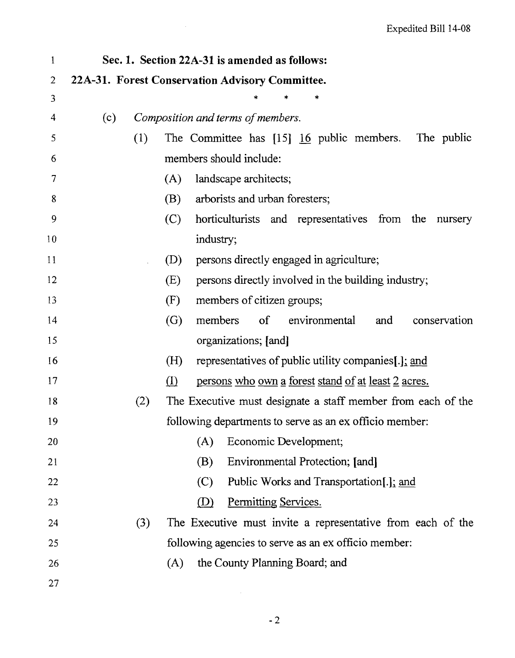| $\mathbf{1}$ |     |     |                   | Sec. 1. Section 22A-31 is amended as follows:                           |
|--------------|-----|-----|-------------------|-------------------------------------------------------------------------|
| 2            |     |     |                   | 22A-31. Forest Conservation Advisory Committee.                         |
| 3            |     |     |                   |                                                                         |
| 4            | (c) |     |                   | Composition and terms of members.                                       |
| 5            |     | (1) |                   | The Committee has $[15]$ $\underline{16}$ public members.<br>The public |
| 6            |     |     |                   | members should include:                                                 |
| 7            |     |     | (A)               | landscape architects;                                                   |
| 8            |     |     | (B)               | arborists and urban foresters;                                          |
| 9            |     |     | (C)               | horticulturists and representatives from the<br>nursery                 |
| 10           |     |     |                   | industry;                                                               |
| 11           |     |     | (D)               | persons directly engaged in agriculture;                                |
| 12           |     |     | (E)               | persons directly involved in the building industry;                     |
| 13           |     |     | (F)               | members of citizen groups;                                              |
| 14           |     |     | $\left( G\right)$ | members<br>$\sigma$<br>environmental<br>conservation<br>and             |
| 15           |     |     |                   | organizations; [and]                                                    |
| 16           |     |     | (H)               | representatives of public utility companies[.]; and                     |
| 17           |     |     | $\rm(D)$          | persons who own a forest stand of at least 2 acres.                     |
| 18           |     | (2) |                   | The Executive must designate a staff member from each of the            |
| 19           |     |     |                   | following departments to serve as an ex officio member:                 |
| 20           |     |     |                   | (A)<br>Economic Development;                                            |
| 21           |     |     |                   | (B)<br>Environmental Protection; [and]                                  |
| 22           |     |     |                   | (C)<br>Public Works and Transportation[.]; and                          |
| 23           |     |     |                   | Permitting Services.<br>(D)                                             |
| 24           |     | (3) |                   | The Executive must invite a representative from each of the             |
| 25           |     |     |                   | following agencies to serve as an ex officio member:                    |
| 26           |     |     | (A)               | the County Planning Board; and                                          |
| 27           |     |     |                   |                                                                         |

 $\mathcal{A}^{\mathcal{A}}$